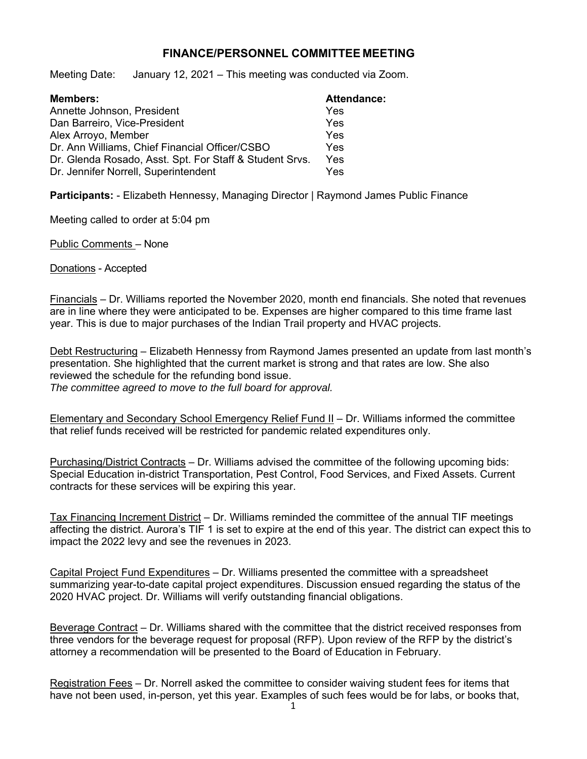## **FINANCE/PERSONNEL COMMITTEE MEETING**

Meeting Date: January 12, 2021 – This meeting was conducted via Zoom.

| <b>Members:</b>                                         | <b>Attendance:</b> |
|---------------------------------------------------------|--------------------|
| Annette Johnson, President                              | Yes                |
| Dan Barreiro, Vice-President                            | Yes                |
| Alex Arroyo, Member                                     | Yes                |
| Dr. Ann Williams, Chief Financial Officer/CSBO          | Yes                |
| Dr. Glenda Rosado, Asst. Spt. For Staff & Student Srvs. | Yes                |
| Dr. Jennifer Norrell, Superintendent                    | Yes                |

**Participants:** - Elizabeth Hennessy, Managing Director | Raymond James Public Finance

Meeting called to order at 5:04 pm

Public Comments – None

Donations - Accepted

Financials – Dr. Williams reported the November 2020, month end financials. She noted that revenues are in line where they were anticipated to be. Expenses are higher compared to this time frame last year. This is due to major purchases of the Indian Trail property and HVAC projects.

Debt Restructuring – Elizabeth Hennessy from Raymond James presented an update from last month's presentation. She highlighted that the current market is strong and that rates are low. She also reviewed the schedule for the refunding bond issue. *The committee agreed to move to the full board for approval.*

Elementary and Secondary School Emergency Relief Fund II – Dr. Williams informed the committee that relief funds received will be restricted for pandemic related expenditures only.

Purchasing/District Contracts – Dr. Williams advised the committee of the following upcoming bids: Special Education in-district Transportation, Pest Control, Food Services, and Fixed Assets. Current contracts for these services will be expiring this year.

Tax Financing Increment District – Dr. Williams reminded the committee of the annual TIF meetings affecting the district. Aurora's TIF 1 is set to expire at the end of this year. The district can expect this to impact the 2022 levy and see the revenues in 2023.

Capital Project Fund Expenditures – Dr. Williams presented the committee with a spreadsheet summarizing year-to-date capital project expenditures. Discussion ensued regarding the status of the 2020 HVAC project. Dr. Williams will verify outstanding financial obligations.

Beverage Contract – Dr. Williams shared with the committee that the district received responses from three vendors for the beverage request for proposal (RFP). Upon review of the RFP by the district's attorney a recommendation will be presented to the Board of Education in February.

Registration Fees – Dr. Norrell asked the committee to consider waiving student fees for items that have not been used, in-person, yet this year. Examples of such fees would be for labs, or books that,